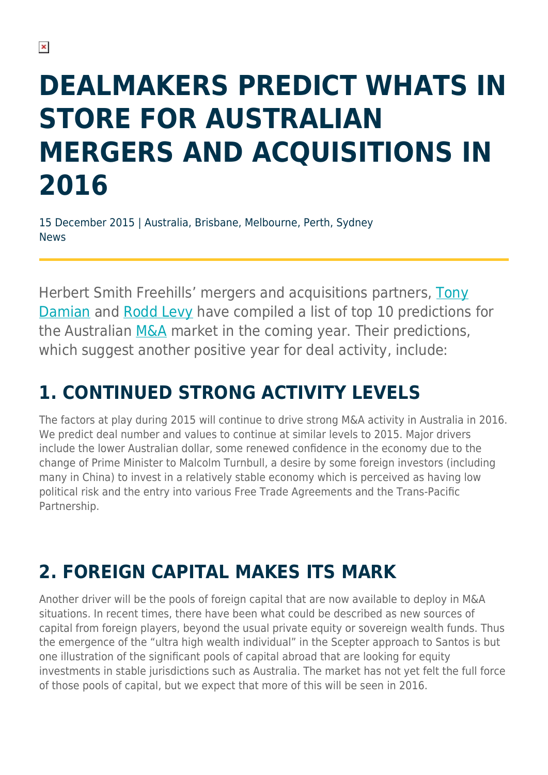# **DEALMAKERS PREDICT WHATS IN STORE FOR AUSTRALIAN MERGERS AND ACQUISITIONS IN 2016**

15 December 2015 | Australia, Brisbane, Melbourne, Perth, Sydney News

Herbert Smith Freehills' mergers and acquisitions partners, [Tony](https://www.herbertsmithfreehills.com/our-people/tony-damian) [Damian](https://www.herbertsmithfreehills.com/our-people/tony-damian) and [Rodd Levy](https://www.herbertsmithfreehills.com/our-people/rodd-levy) have compiled a list of top 10 predictions for the Australian [M&A](https://www.herbertsmithfreehills.com/our-expertise/services/mergers-acquisitions) market in the coming year. Their predictions, which suggest another positive year for deal activity, include:

# **1. CONTINUED STRONG ACTIVITY LEVELS**

The factors at play during 2015 will continue to drive strong M&A activity in Australia in 2016. We predict deal number and values to continue at similar levels to 2015. Major drivers include the lower Australian dollar, some renewed confidence in the economy due to the change of Prime Minister to Malcolm Turnbull, a desire by some foreign investors (including many in China) to invest in a relatively stable economy which is perceived as having low political risk and the entry into various Free Trade Agreements and the Trans-Pacific Partnership.

# **2. FOREIGN CAPITAL MAKES ITS MARK**

Another driver will be the pools of foreign capital that are now available to deploy in M&A situations. In recent times, there have been what could be described as new sources of capital from foreign players, beyond the usual private equity or sovereign wealth funds. Thus the emergence of the "ultra high wealth individual" in the Scepter approach to Santos is but one illustration of the significant pools of capital abroad that are looking for equity investments in stable jurisdictions such as Australia. The market has not yet felt the full force of those pools of capital, but we expect that more of this will be seen in 2016.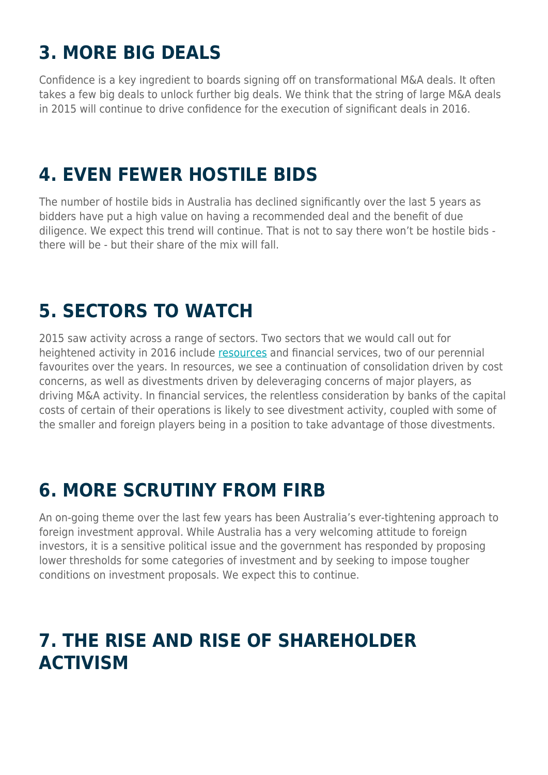# **3. MORE BIG DEALS**

Confidence is a key ingredient to boards signing off on transformational M&A deals. It often takes a few big deals to unlock further big deals. We think that the string of large M&A deals in 2015 will continue to drive confidence for the execution of significant deals in 2016.

#### **4. EVEN FEWER HOSTILE BIDS**

The number of hostile bids in Australia has declined significantly over the last 5 years as bidders have put a high value on having a recommended deal and the benefit of due diligence. We expect this trend will continue. That is not to say there won't be hostile bids there will be - but their share of the mix will fall.

#### **5. SECTORS TO WATCH**

2015 saw activity across a range of sectors. Two sectors that we would call out for heightened activity in 2016 include [resources](https://www.herbertsmithfreehills.com/latest-thinking/sector-focus-energy-mining-and-natural-resources) and financial services, two of our perennial favourites over the years. In resources, we see a continuation of consolidation driven by cost concerns, as well as divestments driven by deleveraging concerns of major players, as driving M&A activity. In financial services, the relentless consideration by banks of the capital costs of certain of their operations is likely to see divestment activity, coupled with some of the smaller and foreign players being in a position to take advantage of those divestments.

#### **6. MORE SCRUTINY FROM FIRB**

An on-going theme over the last few years has been Australia's ever-tightening approach to foreign investment approval. While Australia has a very welcoming attitude to foreign investors, it is a sensitive political issue and the government has responded by proposing lower thresholds for some categories of investment and by seeking to impose tougher conditions on investment proposals. We expect this to continue.

#### **7. THE RISE AND RISE OF SHAREHOLDER ACTIVISM**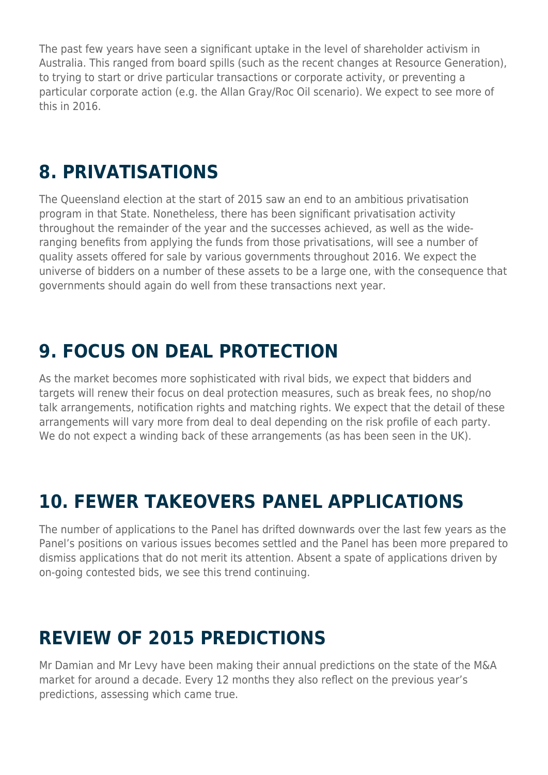The past few years have seen a significant uptake in the level of shareholder activism in Australia. This ranged from board spills (such as the recent changes at Resource Generation), to trying to start or drive particular transactions or corporate activity, or preventing a particular corporate action (e.g. the Allan Gray/Roc Oil scenario). We expect to see more of this in 2016.

#### **8. PRIVATISATIONS**

The Queensland election at the start of 2015 saw an end to an ambitious privatisation program in that State. Nonetheless, there has been significant privatisation activity throughout the remainder of the year and the successes achieved, as well as the wideranging benefits from applying the funds from those privatisations, will see a number of quality assets offered for sale by various governments throughout 2016. We expect the universe of bidders on a number of these assets to be a large one, with the consequence that governments should again do well from these transactions next year.

## **9. FOCUS ON DEAL PROTECTION**

As the market becomes more sophisticated with rival bids, we expect that bidders and targets will renew their focus on deal protection measures, such as break fees, no shop/no talk arrangements, notification rights and matching rights. We expect that the detail of these arrangements will vary more from deal to deal depending on the risk profile of each party. We do not expect a winding back of these arrangements (as has been seen in the UK).

### **10. FEWER TAKEOVERS PANEL APPLICATIONS**

The number of applications to the Panel has drifted downwards over the last few years as the Panel's positions on various issues becomes settled and the Panel has been more prepared to dismiss applications that do not merit its attention. Absent a spate of applications driven by on-going contested bids, we see this trend continuing.

### **REVIEW OF 2015 PREDICTIONS**

Mr Damian and Mr Levy have been making their annual predictions on the state of the M&A market for around a decade. Every 12 months they also reflect on the previous year's predictions, assessing which came true.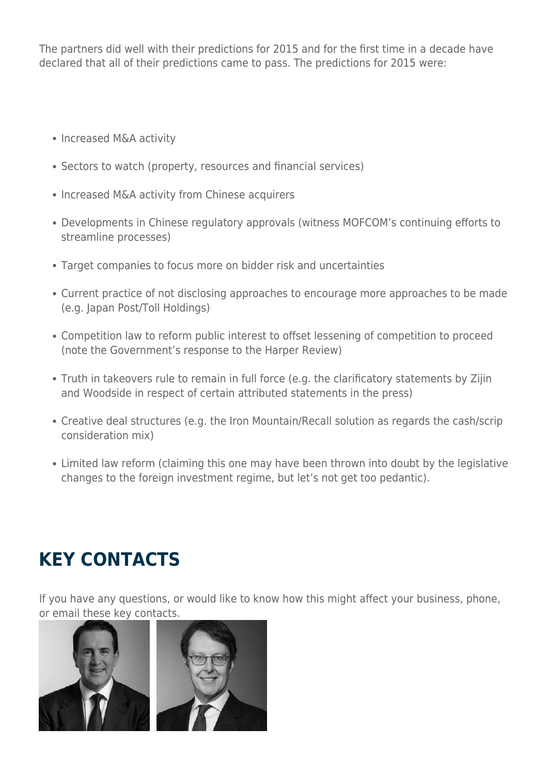The partners did well with their predictions for 2015 and for the first time in a decade have declared that all of their predictions came to pass. The predictions for 2015 were:

- Increased M&A activity
- Sectors to watch (property, resources and financial services)
- Increased M&A activity from Chinese acquirers
- Developments in Chinese regulatory approvals (witness MOFCOM's continuing efforts to streamline processes)
- Target companies to focus more on bidder risk and uncertainties
- Current practice of not disclosing approaches to encourage more approaches to be made (e.g. Japan Post/Toll Holdings)
- Competition law to reform public interest to offset lessening of competition to proceed (note the Government's response to the Harper Review)
- Truth in takeovers rule to remain in full force (e.g. the clarificatory statements by Zijin and Woodside in respect of certain attributed statements in the press)
- Creative deal structures (e.g. the Iron Mountain/Recall solution as regards the cash/scrip consideration mix)
- Limited law reform (claiming this one may have been thrown into doubt by the legislative changes to the foreign investment regime, but let's not get too pedantic).

# **KEY CONTACTS**

If you have any questions, or would like to know how this might affect your business, phone, or email these key contacts.